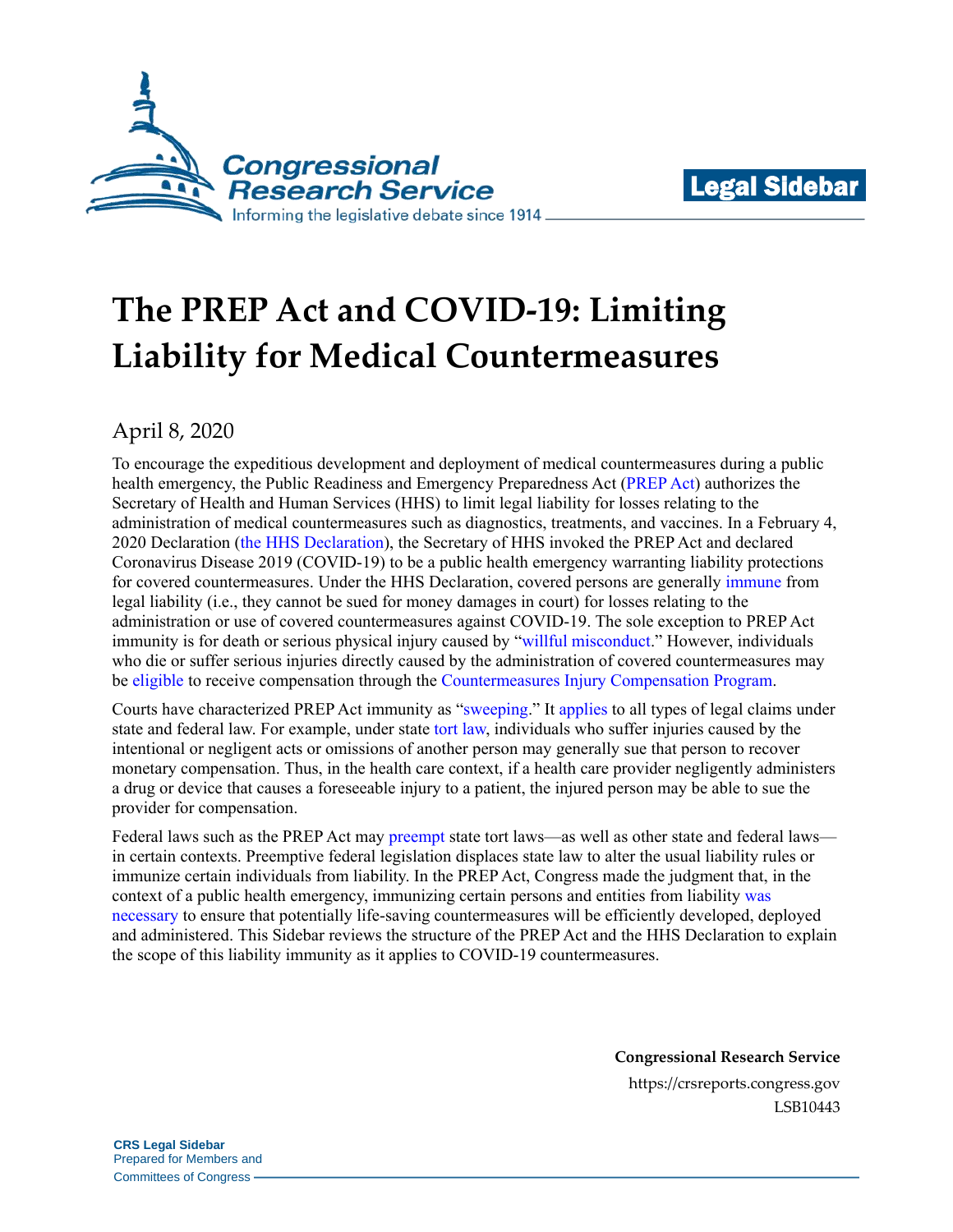



# **The PREP Act and COVID-19: Limiting Liability for Medical Countermeasures**

April 8, 2020

To encourage the expeditious development and deployment of medical countermeasures during a public health emergency, the Public Readiness and Emergency Preparedness Act [\(PREP Act\)](https://www.congress.gov/109/plaws/publ148/PLAW-109publ148.pdf#page=140) authorizes the Secretary of Health and Human Services (HHS) to limit legal liability for losses relating to the administration of medical countermeasures such as diagnostics, treatments, and vaccines. In a February 4, 2020 Declaration (the HHS [Declaration\)](https://www.phe.gov/Preparedness/legal/prepact/Pages/COVID19.aspx), the Secretary of HHS invoked the PREP Act and declared Coronavirus Disease 2019 (COVID-19) to be a public health emergency warranting liability protections for covered countermeasures. Under the HHS Declaration, covered persons are generally [immune](https://www.phe.gov/Preparedness/legal/prepact/Pages/prepqa.aspx#q1) from legal liability (i.e., they cannot be sued for money damages in court) for losses relating to the administration or use of covered countermeasures against COVID-19. The sole exception to PREP Act immunity is for death or serious physical injury caused by ["willful misconduct.](https://www.phe.gov/Preparedness/legal/prepact/Pages/prepqa.aspx#q3)" However, individuals who die or suffer serious injuries directly caused by the administration of covered countermeasures may be [eligible](https://uscode.house.gov/view.xhtml?req=granuleid:USC-prelim-title42-section247d-6e&num=0&edition=prelim) to receive compensation through the [Countermeasures Injury Compensation Program.](https://www.hrsa.gov/cicp/)

Courts have characterized PREP Act immunity as ["sweeping.](https://scholar.google.com/scholar_case?case=2155206758286332854#p144)" It [applies](https://uscode.house.gov/view.xhtml?req=granuleid:USC-prelim-title42-section247d-6d&num=0&edition=prelim) to all types of legal claims under state and federal law. For example, under state [tort law,](https://crsreports.congress.gov/product/pdf/IF/IF11291) individuals who suffer injuries caused by the intentional or negligent acts or omissions of another person may generally sue that person to recover monetary compensation. Thus, in the health care context, if a health care provider negligently administers a drug or device that causes a foreseeable injury to a patient, the injured person may be able to sue the provider for compensation.

Federal laws such as the PREP Act may [preempt](https://crsreports.congress.gov/product/pdf/R/R45825) state tort laws—as well as other state and federal laws in certain contexts. Preemptive federal legislation displaces state law to alter the usual liability rules or immunize certain individuals from liability. In the PREP Act, Congress made the judgment that, in the context of a public health emergency, immunizing certain persons and entities from liability [was](https://www.congress.gov/109/crec/2005/12/18/CREC-2005-12-18-pt1-PgH12244-3.pdf#page=21) [necessary](https://www.congress.gov/109/crec/2005/12/18/CREC-2005-12-18-pt1-PgH12244-3.pdf#page=21) to ensure that potentially life-saving countermeasures will be efficiently developed, deployed and administered. This Sidebar reviews the structure of the PREP Act and the HHS Declaration to explain the scope of this liability immunity as it applies to COVID-19 countermeasures.

> **Congressional Research Service** https://crsreports.congress.gov LSB10443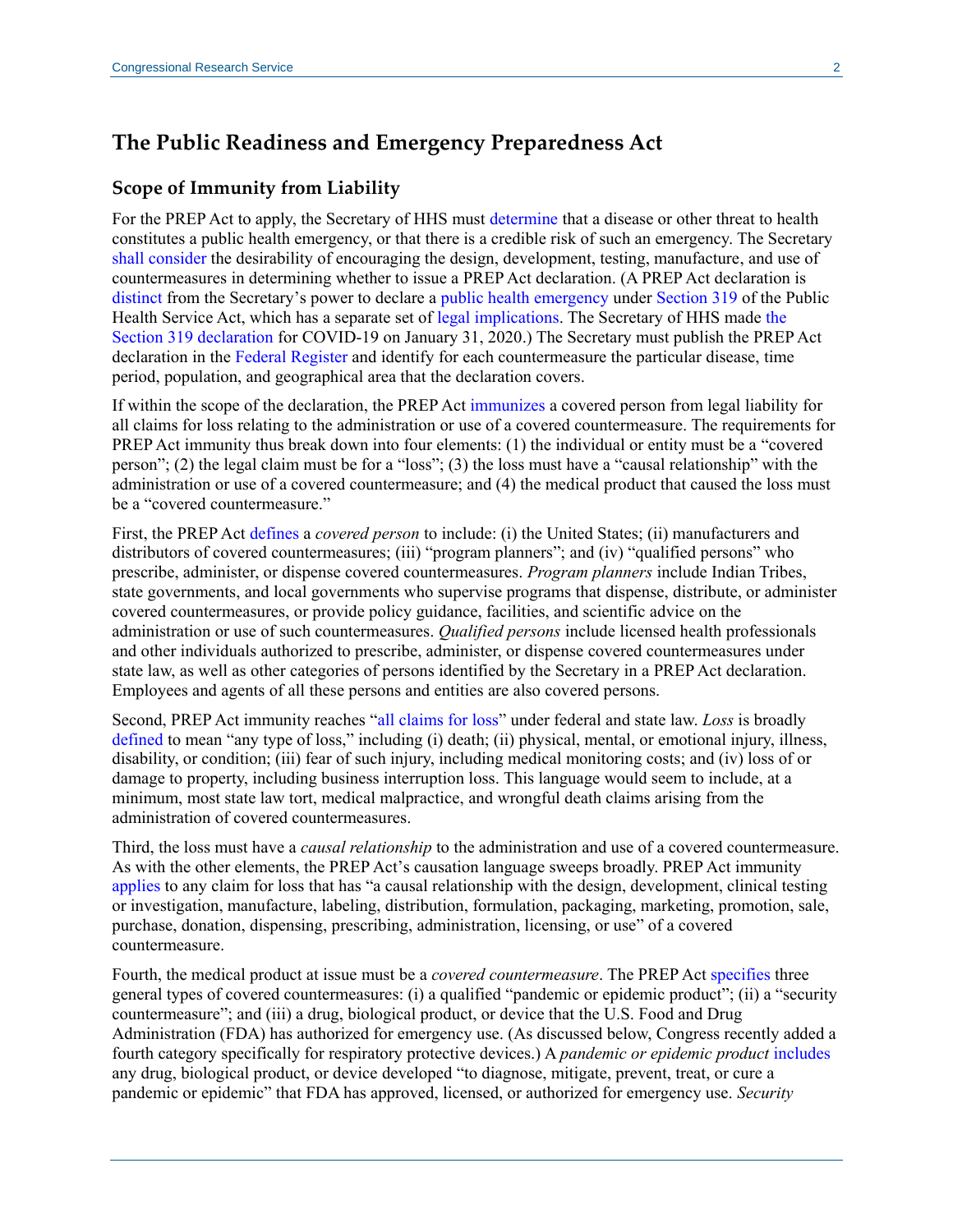## **The Public Readiness and Emergency Preparedness Act**

### **Scope of Immunity from Liability**

For the PREP Act to apply, the Secretary of HHS must [determine](https://uscode.house.gov/view.xhtml?req=granuleid:USC-prelim-title42-section247d-6d&num=0&edition=prelim) that a disease or other threat to health constitutes a public health emergency, or that there is a credible risk of such an emergency. The Secretary shall [consider](https://uscode.house.gov/view.xhtml?req=granuleid:USC-prelim-title42-section247d-6d&num=0&edition=prelim) the desirability of encouraging the design, development, testing, manufacture, and use of countermeasures in determining whether to issue a PREP Act declaration. (A PREP Act declaration is [distinct](https://www.phe.gov/Preparedness/legal/prepact/Pages/prepqa.aspx#q9) from the Secretary's power to declare a [public health emergency](https://www.phe.gov/Preparedness/legal/Pages/phe-qa.aspx) under [Section 319](https://uscode.house.gov/view.xhtml?req=granuleid:USC-prelim-title42-section247d&num=0&edition=prelim) of the Public Health Service Act, which has a separate set of [legal implications.](https://www.phe.gov/Preparedness/legal/Pages/phedeclaration.aspx) The Secretary of HHS made [the](https://www.phe.gov/emergency/news/healthactions/phe/Pages/2019-nCoV.aspx)  [Section 319 declaration](https://www.phe.gov/emergency/news/healthactions/phe/Pages/2019-nCoV.aspx) for COVID-19 on January 31, 2020.) The Secretary must publish the PREP Act declaration in the [Federal Register](https://www.govinfo.gov/content/pkg/FR-2020-03-17/pdf/2020-05484.pdf) and identify for each countermeasure the particular disease, time period, population, and geographical area that the declaration covers.

If within the scope of the declaration, the PREP Act [immunizes](https://uscode.house.gov/view.xhtml?req=granuleid:USC-prelim-title42-section247d-6d&num=0&edition=prelim) a covered person from legal liability for all claims for loss relating to the administration or use of a covered countermeasure. The requirements for PREP Act immunity thus break down into four elements: (1) the individual or entity must be a "covered person"; (2) the legal claim must be for a "loss"; (3) the loss must have a "causal relationship" with the administration or use of a covered countermeasure; and (4) the medical product that caused the loss must be a "covered countermeasure."

First, the PREP Act [defines](https://uscode.house.gov/view.xhtml?req=granuleid:USC-prelim-title42-section247d-6d&num=0&edition=prelim) a *covered person* to include: (i) the United States; (ii) manufacturers and distributors of covered countermeasures; (iii) "program planners"; and (iv) "qualified persons" who prescribe, administer, or dispense covered countermeasures. *Program planners* include Indian Tribes, state governments, and local governments who supervise programs that dispense, distribute, or administer covered countermeasures, or provide policy guidance, facilities, and scientific advice on the administration or use of such countermeasures. *Qualified persons* include licensed health professionals and other individuals authorized to prescribe, administer, or dispense covered countermeasures under state law, as well as other categories of persons identified by the Secretary in a PREP Act declaration. Employees and agents of all these persons and entities are also covered persons.

Second, PREP Act immunity reaches ["all claims for loss"](https://uscode.house.gov/view.xhtml?req=granuleid:USC-prelim-title42-section247d-6d&num=0&edition=prelim) under federal and state law. *Loss* is broadly [defined](https://uscode.house.gov/view.xhtml?req=granuleid:USC-prelim-title42-section247d-6d&num=0&edition=prelim) to mean "any type of loss," including (i) death; (ii) physical, mental, or emotional injury, illness, disability, or condition; (iii) fear of such injury, including medical monitoring costs; and (iv) loss of or damage to property, including business interruption loss. This language would seem to include, at a minimum, most state law tort, medical malpractice, and wrongful death claims arising from the administration of covered countermeasures.

Third, the loss must have a *causal relationship* to the administration and use of a covered countermeasure. As with the other elements, the PREP Act's causation language sweeps broadly. PREP Act immunity [applies](https://uscode.house.gov/view.xhtml?req=granuleid:USC-prelim-title42-section247d-6d&num=0&edition=prelim) to any claim for loss that has "a causal relationship with the design, development, clinical testing or investigation, manufacture, labeling, distribution, formulation, packaging, marketing, promotion, sale, purchase, donation, dispensing, prescribing, administration, licensing, or use" of a covered countermeasure.

Fourth, the medical product at issue must be a *covered countermeasure*. The PREP Ac[t specifies](https://uscode.house.gov/view.xhtml?req=granuleid:USC-prelim-title42-section247d-6d&num=0&edition=prelim) three general types of covered countermeasures: (i) a qualified "pandemic or epidemic product"; (ii) a "security countermeasure"; and (iii) a drug, biological product, or device that the U.S. Food and Drug Administration (FDA) has authorized for emergency use. (As discussed below, Congress recently added a fourth category specifically for respiratory protective devices.) A *pandemic or epidemic product* [includes](https://uscode.house.gov/view.xhtml?req=granuleid:USC-prelim-title42-section247d-6d&num=0&edition=prelim) any drug, biological product, or device developed "to diagnose, mitigate, prevent, treat, or cure a pandemic or epidemic" that FDA has approved, licensed, or authorized for emergency use. *Security*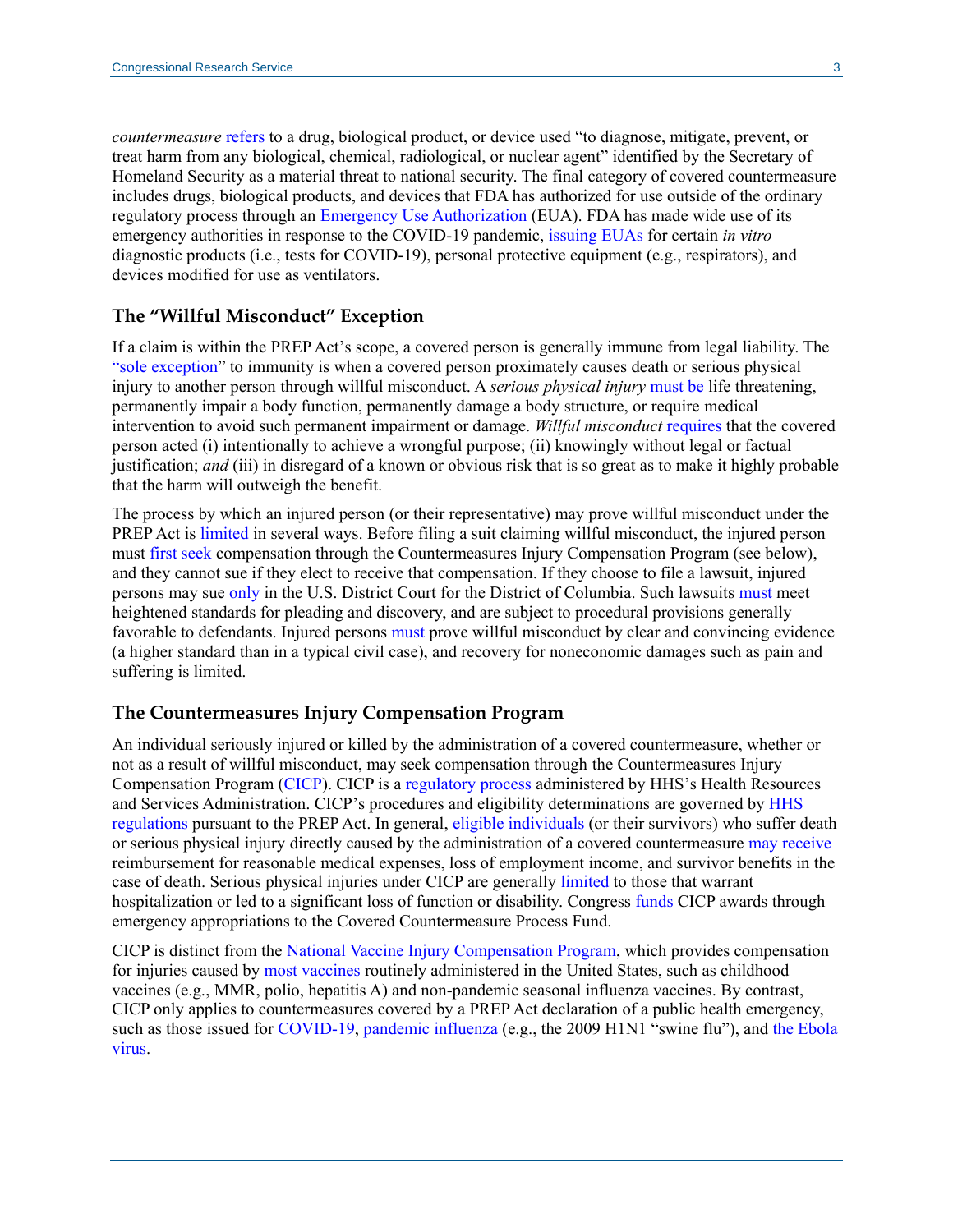*countermeasure* [refers](https://uscode.house.gov/view.xhtml?req=granuleid:USC-prelim-title42-section247d-6b&num=0&edition=prelim) to a drug, biological product, or device used "to diagnose, mitigate, prevent, or treat harm from any biological, chemical, radiological, or nuclear agent" identified by the Secretary of Homeland Security as a material threat to national security. The final category of covered countermeasure includes drugs, biological products, and devices that FDA has authorized for use outside of the ordinary regulatory process through an [Emergency Use Authorization](https://crsreports.congress.gov/product/pdf/IF/IF10745) (EUA). FDA has made wide use of its emergency authorities in response to the COVID-19 pandemic, [issuing](https://www.fda.gov/emergency-preparedness-and-response/mcm-legal-regulatory-and-policy-framework/emergency-use-authorization#2019-ncov) EUAs for certain *in vitro* diagnostic products (i.e., tests for COVID-19), personal protective equipment (e.g., respirators), and devices modified for use as ventilators.

#### **The "Willful Misconduct" Exception**

If a claim is within the PREP Act's scope, a covered person is generally immune from legal liability. The ["sole exception"](https://uscode.house.gov/view.xhtml?req=granuleid:USC-prelim-title42-section247d-6d&num=0&edition=prelim) to immunity is when a covered person proximately causes death or serious physical injury to another person through willful misconduct. A *serious physical injury* [must be](https://uscode.house.gov/view.xhtml?req=granuleid:USC-prelim-title42-section247d-6d&num=0&edition=prelim) life threatening, permanently impair a body function, permanently damage a body structure, or require medical intervention to avoid such permanent impairment or damage. *Willful misconduct* [requires](https://uscode.house.gov/view.xhtml?req=granuleid:USC-prelim-title42-section247d-6d&num=0&edition=prelim) that the covered person acted (i) intentionally to achieve a wrongful purpose; (ii) knowingly without legal or factual justification; *and* (iii) in disregard of a known or obvious risk that is so great as to make it highly probable that the harm will outweigh the benefit.

The process by which an injured person (or their representative) may prove willful misconduct under the PREP Act is [limited](https://uscode.house.gov/view.xhtml?req=granuleid:USC-prelim-title42-section247d-6d&num=0&edition=prelim) in several ways. Before filing a suit claiming willful misconduct, the injured person must [first seek](https://uscode.house.gov/view.xhtml?req=granuleid:USC-prelim-title42-section247d-6e&num=0&edition=prelim) compensation through the Countermeasures Injury Compensation Program (see below), and they cannot sue if they elect to receive that compensation. If they choose to file a lawsuit, injured persons may sue [only](https://uscode.house.gov/view.xhtml?req=granuleid:USC-prelim-title42-section247d-6d&num=0&edition=prelim) in the U.S. District Court for the District of Columbia. Such lawsuits [must](https://uscode.house.gov/view.xhtml?req=granuleid:USC-prelim-title42-section247d-6d&num=0&edition=prelim) meet heightened standards for pleading and discovery, and are subject to procedural provisions generally favorable to defendants. Injured persons [must](https://uscode.house.gov/view.xhtml?req=granuleid:USC-prelim-title42-section247d-6d&num=0&edition=prelim) prove willful misconduct by clear and convincing evidence (a higher standard than in a typical civil case), and recovery for noneconomic damages such as pain and suffering is limited.

#### **The Countermeasures Injury Compensation Program**

An individual seriously injured or killed by the administration of a covered countermeasure, whether or not as a result of willful misconduct, may seek compensation through the Countermeasures Injury Compensation Program [\(CICP\)](https://www.hrsa.gov/cicp/). CICP is a [regulatory process](https://www.hrsa.gov/cicp/faq/index.html) administered by HHS's Health Resources and Services Administration. CICP's procedures and eligibility determinations are governed by [HHS](https://www.govinfo.gov/content/pkg/CFR-2019-title42-vol1/pdf/CFR-2019-title42-vol1-part110.pdf)  [regulations p](https://www.govinfo.gov/content/pkg/CFR-2019-title42-vol1/pdf/CFR-2019-title42-vol1-part110.pdf)ursuant to the PREP Act. In general, [eligible individuals](https://uscode.house.gov/view.xhtml?req=granuleid:USC-prelim-title42-section247d-6e&num=0&edition=prelim) (or their survivors) who suffer death or serious physical injury directly caused by the administration of a covered countermeasure [may receive](https://www.hrsa.gov/cicp/faq/requesters.html) reimbursement for reasonable medical expenses, loss of employment income, and survivor benefits in the case of death. Serious physical injuries under CICP are generally [limited](https://www.govinfo.gov/content/pkg/CFR-2019-title42-vol1/pdf/CFR-2019-title42-vol1-sec110-3.pdf#page=3) to those that warrant hospitalization or led to a significant loss of function or disability. Congress [funds](https://uscode.house.gov/view.xhtml?req=granuleid:USC-prelim-title42-section247d-6e&num=0&edition=prelim) CICP awards through emergency appropriations to the Covered Countermeasure Process Fund.

CICP is distinct from the [National Vaccine Injury Compensation Program,](https://www.hrsa.gov/vaccine-compensation/index.html) which provides compensation for injuries caused by [most vaccines](https://www.hrsa.gov/vaccine-compensation/covered-vaccines/index.html) routinely administered in the United States, such as childhood vaccines (e.g., MMR, polio, hepatitis A) and non-pandemic seasonal influenza vaccines. By contrast, CICP only applies to countermeasures covered by a PREP Act declaration of a public health emergency, such as those issued for [COVID-19,](https://www.phe.gov/Preparedness/legal/prepact/Pages/COVID19.aspx) [pandemic](https://www.govinfo.gov/content/pkg/FR-2015-12-09/pdf/2015-31087.pdf) influenza (e.g., the 2009 H1N1 "swine flu"), and the Ebola [virus.](https://www.govinfo.gov/content/pkg/FR-2019-01-31/pdf/2019-00260.pdf)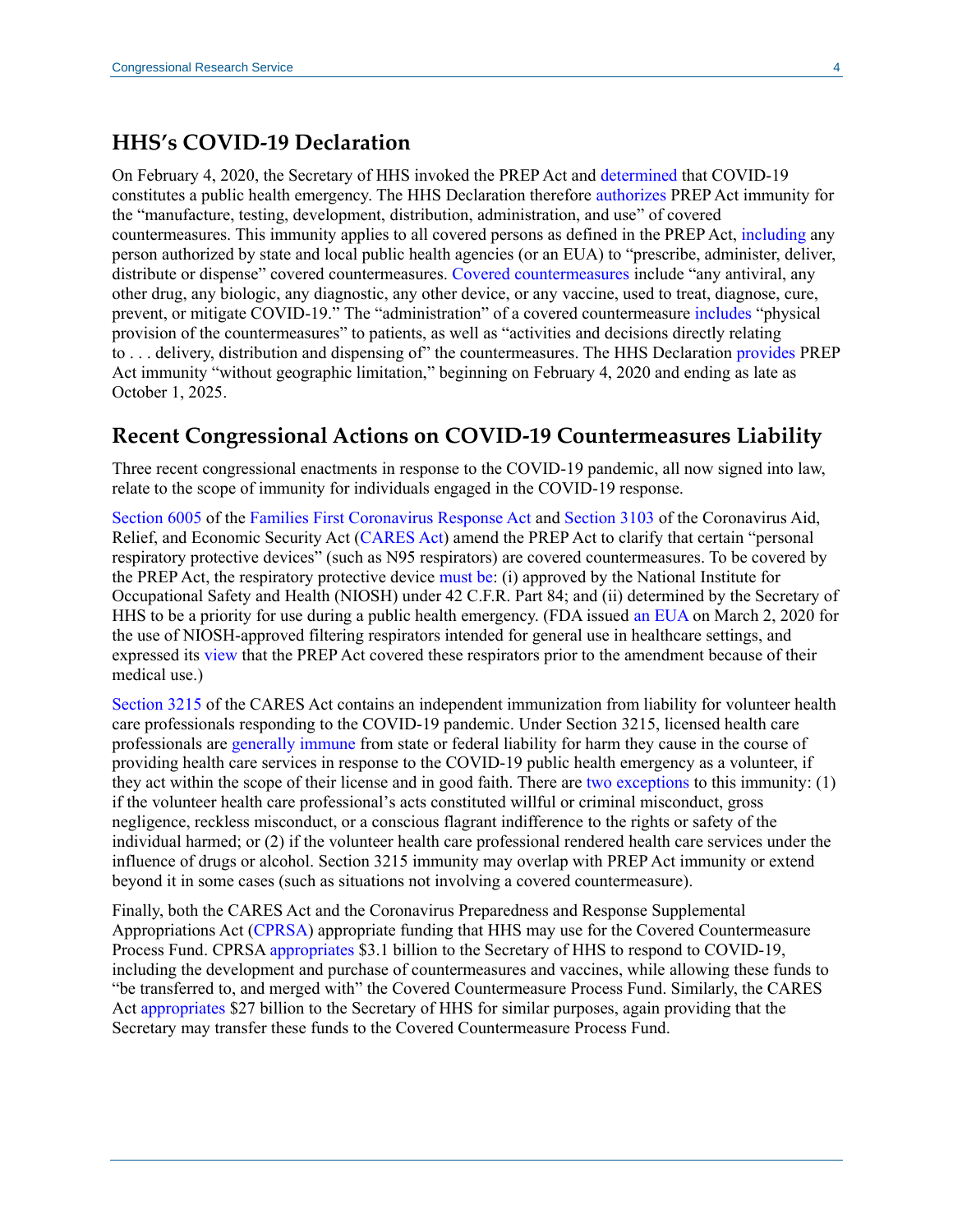## **HHS's COVID-19 Declaration**

On February 4, 2020, the Secretary of HHS invoked the PREP Act and [determined](https://www.govinfo.gov/content/pkg/FR-2020-03-17/pdf/2020-05484.pdf) that COVID-19 constitutes a public health emergency. The HHS Declaration therefore [authorizes](https://www.govinfo.gov/content/pkg/FR-2020-03-17/pdf/2020-05484.pdf#page=4) PREP Act immunity for the "manufacture, testing, development, distribution, administration, and use" of covered countermeasures. This immunity applies to all covered persons as defined in the PREP Act, [including](https://www.govinfo.gov/content/pkg/FR-2020-03-17/pdf/2020-05484.pdf#page=4) any person authorized by state and local public health agencies (or an EUA) to "prescribe, administer, deliver, distribute or dispense" covered countermeasures. [Covered countermeasures](https://www.govinfo.gov/content/pkg/FR-2020-03-17/pdf/2020-05484.pdf#page=5) include "any antiviral, any other drug, any biologic, any diagnostic, any other device, or any vaccine, used to treat, diagnose, cure, prevent, or mitigate COVID-19." The "administration" of a covered countermeasure [includes](https://www.govinfo.gov/content/pkg/FR-2020-03-17/pdf/2020-05484.pdf#page=5) "physical provision of the countermeasures" to patients, as well as "activities and decisions directly relating to . . . delivery, distribution and dispensing of" the countermeasures. The HHS Declaration [provides](https://www.govinfo.gov/content/pkg/FR-2020-03-17/pdf/2020-05484.pdf#page=5) PREP Act immunity "without geographic limitation," beginning on February 4, 2020 and ending as late as October 1, 2025.

## **Recent Congressional Actions on COVID-19 Countermeasures Liability**

Three recent congressional enactments in response to the COVID-19 pandemic, all now signed into law, relate to the scope of immunity for individuals engaged in the COVID-19 response.

[Section 6005](https://www.congress.gov/116/bills/hr6201/BILLS-116hr6201enr.pdf#page=30) of the [Families First Coronavirus Response Act](https://www.congress.gov/bill/116th-congress/house-bill/6201) and [Section 3103](https://www.congress.gov/116/bills/hr748/BILLS-116hr748enr.pdf#page=81) of the Coronavirus Aid, Relief, and Economic Security Act [\(CARES Act\)](https://www.congress.gov/bill/116th-congress/house-bill/748) amend the PREP Act to clarify that certain "personal respiratory protective devices" (such as N95 respirators) are covered countermeasures. To be covered by the PREP Act, the respiratory protective device [must be:](https://www.congress.gov/116/bills/hr748/BILLS-116hr748enr.pdf#page=81) (i) approved by the National Institute for Occupational Safety and Health (NIOSH) under 42 C.F.R. Part 84; and (ii) determined by the Secretary of HHS to be a priority for use during a public health emergency. (FDA issued [an EUA](https://www.fda.gov/media/135763/download) on March 2, 2020 for the use of NIOSH-approved filtering respirators intended for general use in healthcare settings, and expressed its [view](https://www.fda.gov/media/136023/download) that the PREP Act covered these respirators prior to the amendment because of their medical use.)

[Section 3215](https://www.congress.gov/116/bills/hr748/BILLS-116hr748enr.pdf#page=94) of the CARES Act contains an independent immunization from liability for volunteer health care professionals responding to the COVID-19 pandemic. Under Section 3215, licensed health care professionals are [generally immune](https://www.congress.gov/116/bills/hr748/BILLS-116hr748enr.pdf#page=94) from state or federal liability for harm they cause in the course of providing health care services in response to the COVID-19 public health emergency as a volunteer, if they act within the scope of their license and in good faith. There are [two exceptions](https://www.congress.gov/116/bills/hr748/BILLS-116hr748enr.pdf#page=94) to this immunity: (1) if the volunteer health care professional's acts constituted willful or criminal misconduct, gross negligence, reckless misconduct, or a conscious flagrant indifference to the rights or safety of the individual harmed; or (2) if the volunteer health care professional rendered health care services under the influence of drugs or alcohol. Section 3215 immunity may overlap with PREP Act immunity or extend beyond it in some cases (such as situations not involving a covered countermeasure).

Finally, both the CARES Act and the Coronavirus Preparedness and Response Supplemental Appropriations Act [\(CPRSA\)](https://www.congress.gov/bill/116th-congress/house-bill/6074) appropriate funding that HHS may use for the Covered Countermeasure Process Fund. CPRS[A appropriates](https://www.congress.gov/116/bills/hr6074/BILLS-116hr6074enr.pdf#page=4) \$3.1 billion to the Secretary of HHS to respond to COVID-19, including the development and purchase of countermeasures and vaccines, while allowing these funds to "be transferred to, and merged with" the Covered Countermeasure Process Fund. Similarly, the CARES Act [appropriates](https://www.congress.gov/116/bills/hr748/BILLS-116hr748enr.pdf#page=281) \$27 billion to the Secretary of HHS for similar purposes, again providing that the Secretary may transfer these funds to the Covered Countermeasure Process Fund.